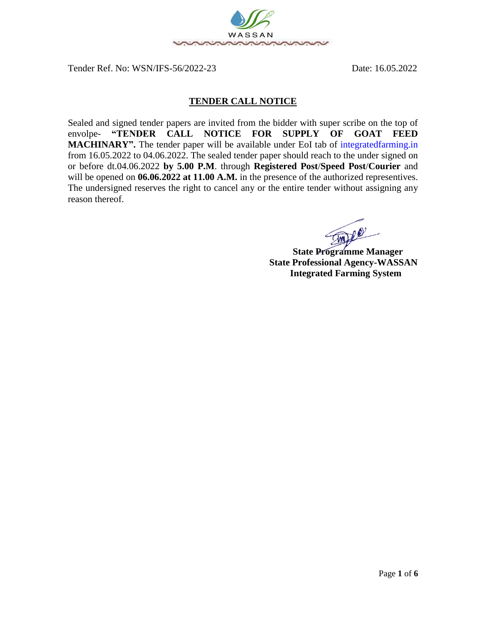

Tender Ref. No: WSN/IFS-56/2022-23 Date: 16.05.2022

## **TENDER CALL NOTICE**

Sealed and signed tender papers are invited from the bidder with super scribe on the top of envolpe- **"TENDER CALL NOTICE FOR SUPPLY OF GOAT FEED MACHINARY".** The tender paper will be available under EoI tab of [integratedfarming.in](http://www.milletsodisha.com/) from 16.05.2022 to 04.06.2022. The sealed tender paper should reach to the under signed on or before dt.04.06.2022 **by 5.00 P.M**. through **Registered Post**/**Speed Post**/**Courier** and will be opened on **06.06.2022** at 11.00 A.M. in the presence of the authorized representives. The undersigned reserves the right to cancel any or the entire tender without assigning any reason thereof.

**State Programme Manager** 

 **State Professional Agency-WASSAN Integrated Farming System**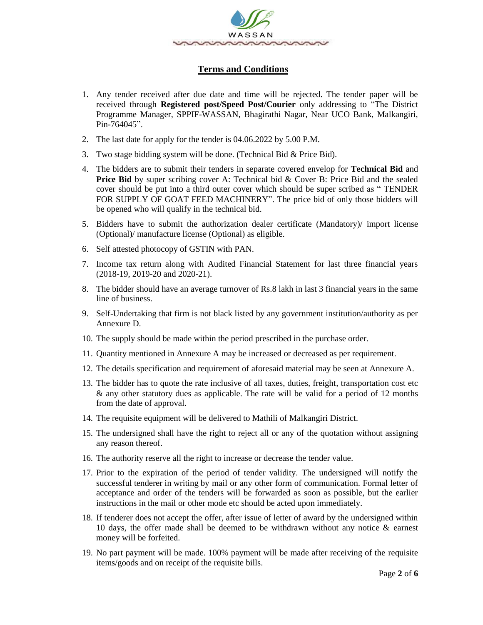

# **Terms and Conditions**

- 1. Any tender received after due date and time will be rejected. The tender paper will be received through **Registered post/Speed Post/Courier** only addressing to "The District Programme Manager, SPPIF-WASSAN, Bhagirathi Nagar, Near UCO Bank, Malkangiri, Pin-764045".
- 2. The last date for apply for the tender is 04.06.2022 by 5.00 P.M.
- 3. Two stage bidding system will be done. (Technical Bid & Price Bid).
- 4. The bidders are to submit their tenders in separate covered envelop for **Technical Bid** and **Price Bid** by super scribing cover A: Technical bid & Cover B: Price Bid and the sealed cover should be put into a third outer cover which should be super scribed as " TENDER FOR SUPPLY OF GOAT FEED MACHINERY". The price bid of only those bidders will be opened who will qualify in the technical bid.
- 5. Bidders have to submit the authorization dealer certificate (Mandatory)/ import license (Optional)/ manufacture license (Optional) as eligible.
- 6. Self attested photocopy of GSTIN with PAN.
- 7. Income tax return along with Audited Financial Statement for last three financial years (2018-19, 2019-20 and 2020-21).
- 8. The bidder should have an average turnover of Rs.8 lakh in last 3 financial years in the same line of business.
- 9. Self-Undertaking that firm is not black listed by any government institution/authority as per Annexure D.
- 10. The supply should be made within the period prescribed in the purchase order.
- 11. Quantity mentioned in Annexure A may be increased or decreased as per requirement.
- 12. The details specification and requirement of aforesaid material may be seen at Annexure A.
- 13. The bidder has to quote the rate inclusive of all taxes, duties, freight, transportation cost etc & any other statutory dues as applicable. The rate will be valid for a period of 12 months from the date of approval.
- 14. The requisite equipment will be delivered to Mathili of Malkangiri District.
- 15. The undersigned shall have the right to reject all or any of the quotation without assigning any reason thereof.
- 16. The authority reserve all the right to increase or decrease the tender value.
- 17. Prior to the expiration of the period of tender validity. The undersigned will notify the successful tenderer in writing by mail or any other form of communication. Formal letter of acceptance and order of the tenders will be forwarded as soon as possible, but the earlier instructions in the mail or other mode etc should be acted upon immediately.
- 18. If tenderer does not accept the offer, after issue of letter of award by the undersigned within 10 days, the offer made shall be deemed to be withdrawn without any notice & earnest money will be forfeited.
- 19. No part payment will be made. 100% payment will be made after receiving of the requisite items/goods and on receipt of the requisite bills.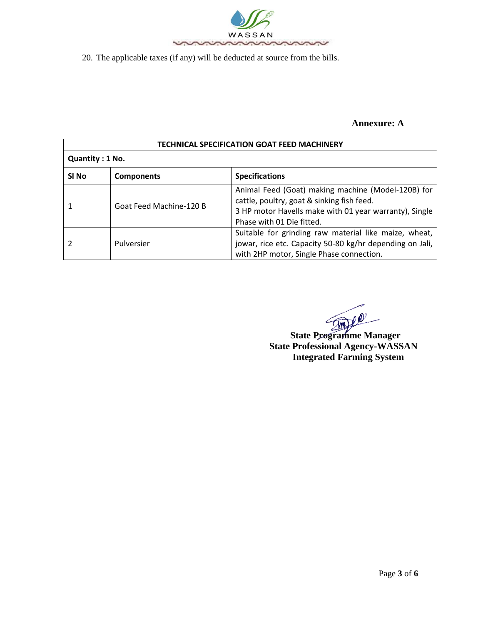

20. The applicable taxes (if any) will be deducted at source from the bills.

## **Annexure: A**

| <b>TECHNICAL SPECIFICATION GOAT FEED MACHINERY</b> |                         |                                                                                                                                                                                         |  |  |  |  |  |
|----------------------------------------------------|-------------------------|-----------------------------------------------------------------------------------------------------------------------------------------------------------------------------------------|--|--|--|--|--|
| Quantity: 1 No.                                    |                         |                                                                                                                                                                                         |  |  |  |  |  |
| SI No<br><b>Components</b>                         |                         | <b>Specifications</b>                                                                                                                                                                   |  |  |  |  |  |
|                                                    | Goat Feed Machine-120 B | Animal Feed (Goat) making machine (Model-120B) for<br>cattle, poultry, goat & sinking fish feed.<br>3 HP motor Havells make with 01 year warranty), Single<br>Phase with 01 Die fitted. |  |  |  |  |  |
|                                                    | Pulversier              | Suitable for grinding raw material like maize, wheat,<br>jowar, rice etc. Capacity 50-80 kg/hr depending on Jali,<br>with 2HP motor, Single Phase connection.                           |  |  |  |  |  |

 **State Programme Manager State Professional Agency-WASSAN Integrated Farming System**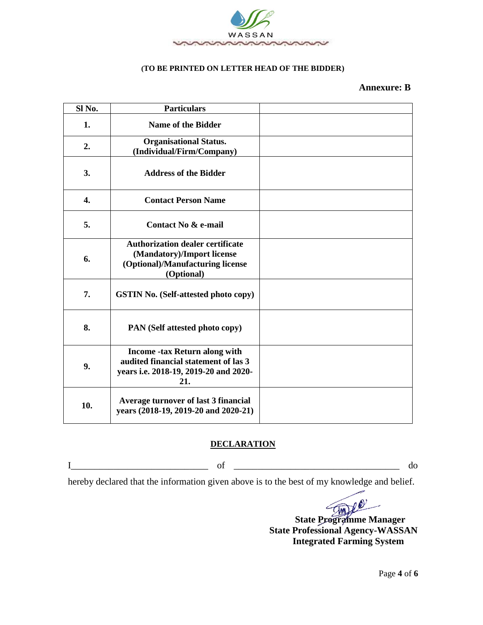

#### **(TO BE PRINTED ON LETTER HEAD OF THE BIDDER)**

### **Annexure: B**

| Sl No. | <b>Particulars</b>                                                                                                           |  |
|--------|------------------------------------------------------------------------------------------------------------------------------|--|
| 1.     | <b>Name of the Bidder</b>                                                                                                    |  |
| 2.     | <b>Organisational Status.</b><br>(Individual/Firm/Company)                                                                   |  |
| 3.     | <b>Address of the Bidder</b>                                                                                                 |  |
| 4.     | <b>Contact Person Name</b>                                                                                                   |  |
| 5.     | Contact No & e-mail                                                                                                          |  |
| 6.     | <b>Authorization dealer certificate</b><br>(Mandatory)/Import license<br>(Optional)/Manufacturing license<br>(Optional)      |  |
| 7.     | <b>GSTIN No. (Self-attested photo copy)</b>                                                                                  |  |
| 8.     | PAN (Self attested photo copy)                                                                                               |  |
| 9.     | <b>Income -tax Return along with</b><br>audited financial statement of las 3<br>years i.e. 2018-19, 2019-20 and 2020-<br>21. |  |
| 10.    | Average turnover of last 3 financial<br>years (2018-19, 2019-20 and 2020-21)                                                 |  |

#### **DECLARATION**

 $\rm I$  of  $\rm d$ 

hereby declared that the information given above is to the best of my knowledge and belief.

 **State Programme Manager**

 **State Professional Agency-WASSAN Integrated Farming System**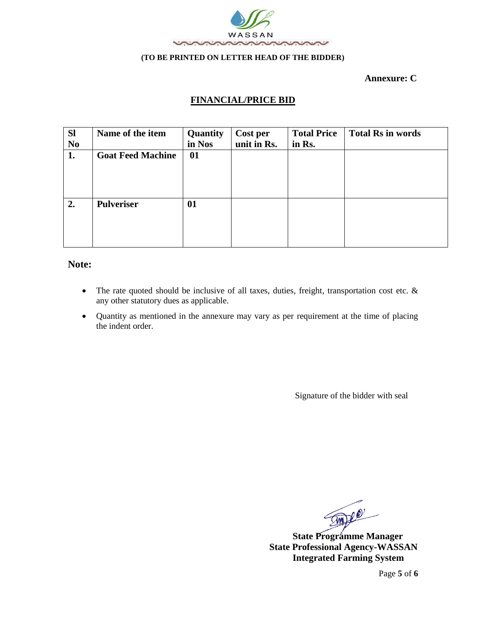

#### **(TO BE PRINTED ON LETTER HEAD OF THE BIDDER)**

 **Annexure: C**

# **FINANCIAL/PRICE BID**

| <b>SI</b>      | Name of the item         | Quantity | Cost per    | <b>Total Price</b> | <b>Total Rs in words</b> |
|----------------|--------------------------|----------|-------------|--------------------|--------------------------|
| N <sub>0</sub> |                          | in Nos   | unit in Rs. | in Rs.             |                          |
| 1.             | <b>Goat Feed Machine</b> | 01       |             |                    |                          |
|                |                          |          |             |                    |                          |
|                |                          |          |             |                    |                          |
|                |                          |          |             |                    |                          |
|                |                          |          |             |                    |                          |
| 2.             | <b>Pulveriser</b>        | 01       |             |                    |                          |
|                |                          |          |             |                    |                          |
|                |                          |          |             |                    |                          |
|                |                          |          |             |                    |                          |
|                |                          |          |             |                    |                          |

### **Note:**

- The rate quoted should be inclusive of all taxes, duties, freight, transportation cost etc. & any other statutory dues as applicable.
- Quantity as mentioned in the annexure may vary as per requirement at the time of placing the indent order.

Signature of the bidder with seal

**State Programme Manager** 

 **State Professional Agency-WASSAN Integrated Farming System**

Page **5** of **6**